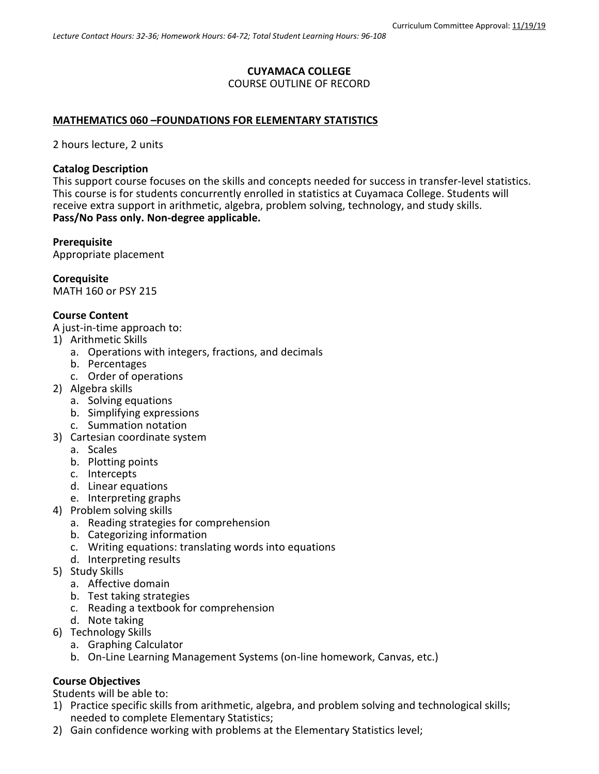## **CUYAMACA COLLEGE** COURSE OUTLINE OF RECORD

## **MATHEMATICS 060 –FOUNDATIONS FOR ELEMENTARY STATISTICS**

2 hours lecture, 2 units

#### **Catalog Description**

This support course focuses on the skills and concepts needed for success in transfer-level statistics. This course is for students concurrently enrolled in statistics at Cuyamaca College. Students will receive extra support in arithmetic, algebra, problem solving, technology, and study skills. **Pass/No Pass only. Non-degree applicable.**

### **Prerequisite**

Appropriate placement

**Corequisite** MATH 160 or PSY 215

### **Course Content**

A just-in-time approach to:

- 1) Arithmetic Skills
	- a. Operations with integers, fractions, and decimals
	- b. Percentages
	- c. Order of operations
- 2) Algebra skills
	- a. Solving equations
	- b. Simplifying expressions
	- c. Summation notation
- 3) Cartesian coordinate system
	- a. Scales
	- b. Plotting points
	- c. Intercepts
	- d. Linear equations
	- e. Interpreting graphs
- 4) Problem solving skills
	- a. Reading strategies for comprehension
	- b. Categorizing information
	- c. Writing equations: translating words into equations
	- d. Interpreting results
- 5) Study Skills
	- a. Affective domain
	- b. Test taking strategies
	- c. Reading a textbook for comprehension
	- d. Note taking
- 6) Technology Skills
	- a. Graphing Calculator
	- b. On-Line Learning Management Systems (on-line homework, Canvas, etc.)

## **Course Objectives**

Students will be able to:

- 1) Practice specific skills from arithmetic, algebra, and problem solving and technological skills; needed to complete Elementary Statistics;
- 2) Gain confidence working with problems at the Elementary Statistics level;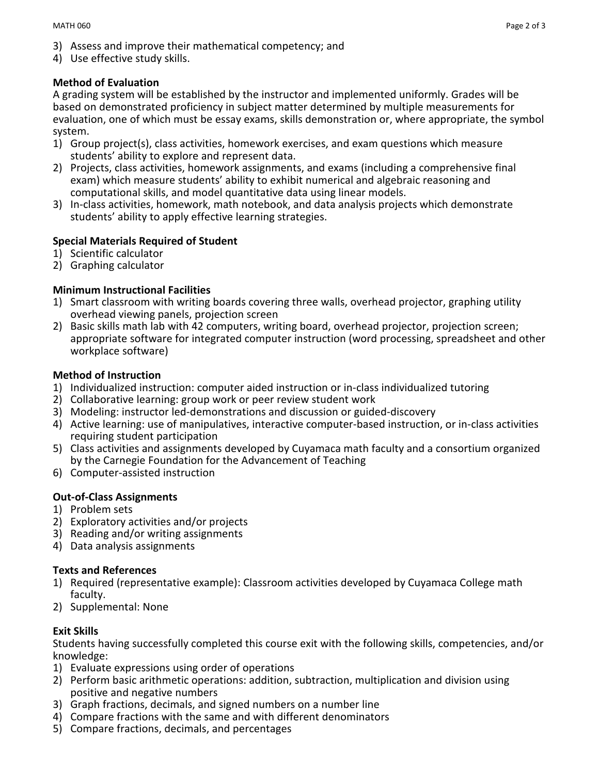- 3) Assess and improve their mathematical competency; and
- 4) Use effective study skills.

# **Method of Evaluation**

A grading system will be established by the instructor and implemented uniformly. Grades will be based on demonstrated proficiency in subject matter determined by multiple measurements for evaluation, one of which must be essay exams, skills demonstration or, where appropriate, the symbol system.

- 1) Group project(s), class activities, homework exercises, and exam questions which measure students' ability to explore and represent data.
- 2) Projects, class activities, homework assignments, and exams (including a comprehensive final exam) which measure students' ability to exhibit numerical and algebraic reasoning and computational skills, and model quantitative data using linear models.
- 3) In-class activities, homework, math notebook, and data analysis projects which demonstrate students' ability to apply effective learning strategies.

# **Special Materials Required of Student**

- 1) Scientific calculator
- 2) Graphing calculator

# **Minimum Instructional Facilities**

- 1) Smart classroom with writing boards covering three walls, overhead projector, graphing utility overhead viewing panels, projection screen
- 2) Basic skills math lab with 42 computers, writing board, overhead projector, projection screen; appropriate software for integrated computer instruction (word processing, spreadsheet and other workplace software)

## **Method of Instruction**

- 1) Individualized instruction: computer aided instruction or in-class individualized tutoring
- 2) Collaborative learning: group work or peer review student work
- 3) Modeling: instructor led-demonstrations and discussion or guided-discovery
- 4) Active learning: use of manipulatives, interactive computer-based instruction, or in-class activities requiring student participation
- 5) Class activities and assignments developed by Cuyamaca math faculty and a consortium organized by the Carnegie Foundation for the Advancement of Teaching
- 6) Computer-assisted instruction

# **Out-of-Class Assignments**

- 1) Problem sets
- 2) Exploratory activities and/or projects
- 3) Reading and/or writing assignments
- 4) Data analysis assignments

## **Texts and References**

- 1) Required (representative example): Classroom activities developed by Cuyamaca College math faculty.
- 2) Supplemental: None

# **Exit Skills**

Students having successfully completed this course exit with the following skills, competencies, and/or knowledge:

- 1) Evaluate expressions using order of operations
- 2) Perform basic arithmetic operations: addition, subtraction, multiplication and division using positive and negative numbers
- 3) Graph fractions, decimals, and signed numbers on a number line
- 4) Compare fractions with the same and with different denominators
- 5) Compare fractions, decimals, and percentages